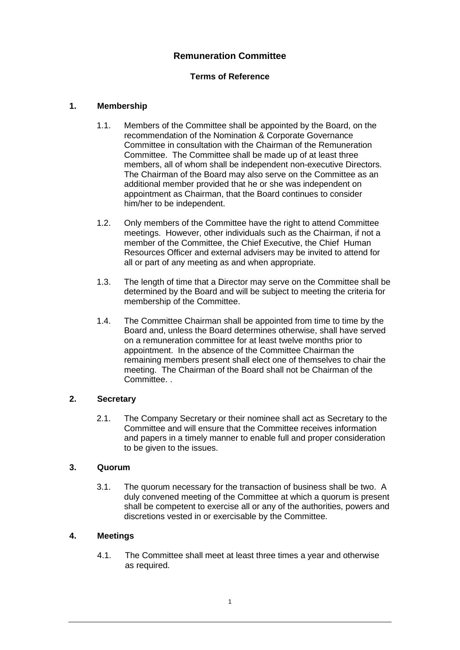# **Remuneration Committee**

## **Terms of Reference**

### **1. Membership**

- 1.1. Members of the Committee shall be appointed by the Board, on the recommendation of the Nomination & Corporate Governance Committee in consultation with the Chairman of the Remuneration Committee. The Committee shall be made up of at least three members, all of whom shall be independent non-executive Directors. The Chairman of the Board may also serve on the Committee as an additional member provided that he or she was independent on appointment as Chairman, that the Board continues to consider him/her to be independent.
- 1.2. Only members of the Committee have the right to attend Committee meetings. However, other individuals such as the Chairman, if not a member of the Committee, the Chief Executive, the Chief Human Resources Officer and external advisers may be invited to attend for all or part of any meeting as and when appropriate.
- 1.3. The length of time that a Director may serve on the Committee shall be determined by the Board and will be subject to meeting the criteria for membership of the Committee.
- 1.4. The Committee Chairman shall be appointed from time to time by the Board and, unless the Board determines otherwise, shall have served on a remuneration committee for at least twelve months prior to appointment. In the absence of the Committee Chairman the remaining members present shall elect one of themselves to chair the meeting. The Chairman of the Board shall not be Chairman of the Committee. .

#### **2. Secretary**

2.1. The Company Secretary or their nominee shall act as Secretary to the Committee and will ensure that the Committee receives information and papers in a timely manner to enable full and proper consideration to be given to the issues.

#### **3. Quorum**

3.1. The quorum necessary for the transaction of business shall be two. A duly convened meeting of the Committee at which a quorum is present shall be competent to exercise all or any of the authorities, powers and discretions vested in or exercisable by the Committee.

### **4. Meetings**

4.1. The Committee shall meet at least three times a year and otherwise as required.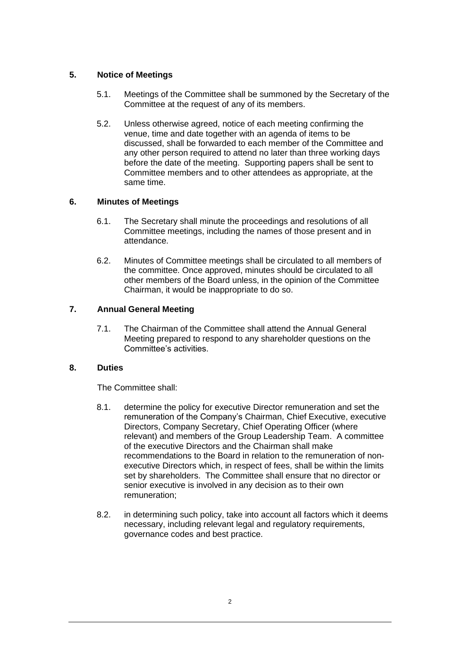## **5. Notice of Meetings**

- 5.1. Meetings of the Committee shall be summoned by the Secretary of the Committee at the request of any of its members.
- 5.2. Unless otherwise agreed, notice of each meeting confirming the venue, time and date together with an agenda of items to be discussed, shall be forwarded to each member of the Committee and any other person required to attend no later than three working days before the date of the meeting. Supporting papers shall be sent to Committee members and to other attendees as appropriate, at the same time.

### **6. Minutes of Meetings**

- 6.1. The Secretary shall minute the proceedings and resolutions of all Committee meetings, including the names of those present and in attendance.
- 6.2. Minutes of Committee meetings shall be circulated to all members of the committee. Once approved, minutes should be circulated to all other members of the Board unless, in the opinion of the Committee Chairman, it would be inappropriate to do so.

### **7. Annual General Meeting**

7.1. The Chairman of the Committee shall attend the Annual General Meeting prepared to respond to any shareholder questions on the Committee's activities.

#### **8. Duties**

The Committee shall:

- 8.1. determine the policy for executive Director remuneration and set the remuneration of the Company's Chairman, Chief Executive, executive Directors, Company Secretary, Chief Operating Officer (where relevant) and members of the Group Leadership Team. A committee of the executive Directors and the Chairman shall make recommendations to the Board in relation to the remuneration of nonexecutive Directors which, in respect of fees, shall be within the limits set by shareholders. The Committee shall ensure that no director or senior executive is involved in any decision as to their own remuneration;
- 8.2. in determining such policy, take into account all factors which it deems necessary, including relevant legal and regulatory requirements, governance codes and best practice.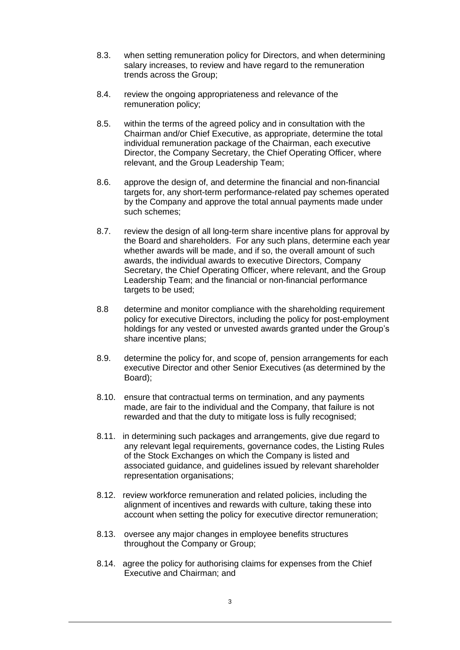- 8.3. when setting remuneration policy for Directors, and when determining salary increases, to review and have regard to the remuneration trends across the Group;
- 8.4. review the ongoing appropriateness and relevance of the remuneration policy;
- 8.5. within the terms of the agreed policy and in consultation with the Chairman and/or Chief Executive, as appropriate, determine the total individual remuneration package of the Chairman, each executive Director, the Company Secretary, the Chief Operating Officer, where relevant, and the Group Leadership Team;
- 8.6. approve the design of, and determine the financial and non-financial targets for, any short-term performance-related pay schemes operated by the Company and approve the total annual payments made under such schemes;
- 8.7. review the design of all long-term share incentive plans for approval by the Board and shareholders. For any such plans, determine each year whether awards will be made, and if so, the overall amount of such awards, the individual awards to executive Directors, Company Secretary, the Chief Operating Officer, where relevant, and the Group Leadership Team; and the financial or non-financial performance targets to be used;
- 8.8 determine and monitor compliance with the shareholding requirement policy for executive Directors, including the policy for post-employment holdings for any vested or unvested awards granted under the Group's share incentive plans;
- 8.9. determine the policy for, and scope of, pension arrangements for each executive Director and other Senior Executives (as determined by the Board);
- 8.10. ensure that contractual terms on termination, and any payments made, are fair to the individual and the Company, that failure is not rewarded and that the duty to mitigate loss is fully recognised;
- 8.11. in determining such packages and arrangements, give due regard to any relevant legal requirements, governance codes, the Listing Rules of the Stock Exchanges on which the Company is listed and associated guidance, and guidelines issued by relevant shareholder representation organisations;
- 8.12. review workforce remuneration and related policies, including the alignment of incentives and rewards with culture, taking these into account when setting the policy for executive director remuneration;
- 8.13. oversee any major changes in employee benefits structures throughout the Company or Group;
- 8.14. agree the policy for authorising claims for expenses from the Chief Executive and Chairman; and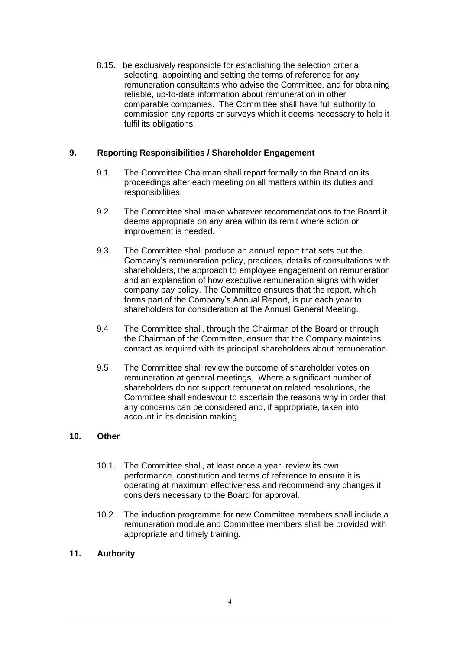8.15. be exclusively responsible for establishing the selection criteria, selecting, appointing and setting the terms of reference for any remuneration consultants who advise the Committee, and for obtaining reliable, up-to-date information about remuneration in other comparable companies. The Committee shall have full authority to commission any reports or surveys which it deems necessary to help it fulfil its obligations.

## **9. Reporting Responsibilities / Shareholder Engagement**

- 9.1. The Committee Chairman shall report formally to the Board on its proceedings after each meeting on all matters within its duties and responsibilities.
- 9.2. The Committee shall make whatever recommendations to the Board it deems appropriate on any area within its remit where action or improvement is needed.
- 9.3. The Committee shall produce an annual report that sets out the Company's remuneration policy, practices, details of consultations with shareholders, the approach to employee engagement on remuneration and an explanation of how executive remuneration aligns with wider company pay policy. The Committee ensures that the report, which forms part of the Company's Annual Report, is put each year to shareholders for consideration at the Annual General Meeting.
- 9.4 The Committee shall, through the Chairman of the Board or through the Chairman of the Committee, ensure that the Company maintains contact as required with its principal shareholders about remuneration.
- 9.5 The Committee shall review the outcome of shareholder votes on remuneration at general meetings. Where a significant number of shareholders do not support remuneration related resolutions, the Committee shall endeavour to ascertain the reasons why in order that any concerns can be considered and, if appropriate, taken into account in its decision making.

### **10. Other**

- 10.1. The Committee shall, at least once a year, review its own performance, constitution and terms of reference to ensure it is operating at maximum effectiveness and recommend any changes it considers necessary to the Board for approval.
- 10.2. The induction programme for new Committee members shall include a remuneration module and Committee members shall be provided with appropriate and timely training.

## **11. Authority**